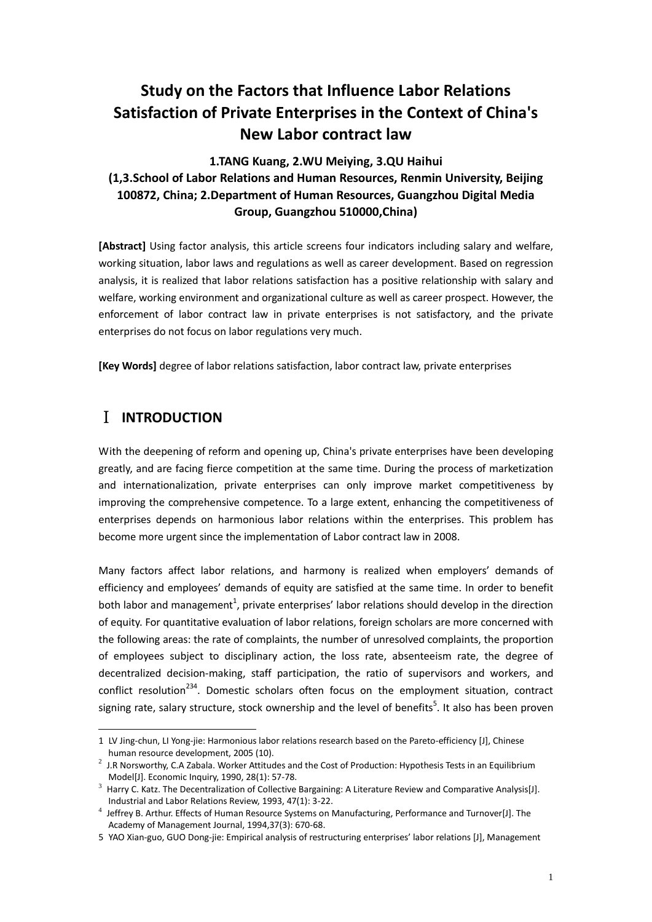# **Study on the Factors that Influence Labor Relations Satisfaction of Private Enterprises in the Context of China's New Labor contract law**

## **1.TANG Kuang, 2.WU Meiying, 3.QU Haihui (1,3.School of Labor Relations and Human Resources, Renmin University, Beijing 100872, China; 2.Department of Human Resources, Guangzhou Digital Media Group, Guangzhou 510000,China)**

**[Abstract]** Using factor analysis, this article screens four indicators including salary and welfare, working situation, labor laws and regulations as well as career development. Based on regression analysis, it is realized that labor relations satisfaction has a positive relationship with salary and welfare, working environment and organizational culture as well as career prospect. However, the enforcement of labor contract law in private enterprises is not satisfactory, and the private enterprises do not focus on labor regulations very much.

**[Key Words]** degree of labor relations satisfaction, labor contract law, private enterprises

# Ⅰ **INTRODUCTION**

<u>.</u>

With the deepening of reform and opening up, China's private enterprises have been developing greatly, and are facing fierce competition at the same time. During the process of marketization and internationalization, private enterprises can only improve market competitiveness by improving the comprehensive competence. To a large extent, enhancing the competitiveness of enterprises depends on harmonious labor relations within the enterprises. This problem has become more urgent since the implementation of Labor contract law in 2008.

Many factors affect labor relations, and harmony is realized when employers' demands of efficiency and employees' demands of equity are satisfied at the same time. In order to benefit both labor and management<sup>1</sup>, private enterprises' labor relations should develop in the direction of equity. For quantitative evaluation of labor relations, foreign scholars are more concerned with the following areas: the rate of complaints, the number of unresolved complaints, the proportion of employees subject to disciplinary action, the loss rate, absenteeism rate, the degree of decentralized decision-making, staff participation, the ratio of supervisors and workers, and conflict resolution<sup>234</sup>. Domestic scholars often focus on the employment situation, contract signing rate, salary structure, stock ownership and the level of benefits<sup>5</sup>. It also has been proven

<sup>1</sup> LV Jing-chun, LI Yong-jie: Harmonious labor relations research based on the Pareto-efficiency [J], Chinese human resource development, 2005 (10).

<sup>&</sup>lt;sup>2</sup> J.R Norsworthy, C.A Zabala. Worker Attitudes and the Cost of Production: Hypothesis Tests in an Equilibrium Model[J]. Economic Inquiry, 1990, 28(1): 57-78.

<sup>3</sup> Harry C. Katz. The Decentralization of Collective Bargaining: A Literature Review and Comparative Analysis[J]. Industrial and Labor Relations Review, 1993, 47(1): 3-22.

<sup>&</sup>lt;sup>4</sup> Jeffrey B. Arthur. Effects of Human Resource Systems on Manufacturing, Performance and Turnover[J]. The Academy of Management Journal, 1994,37(3): 670-68.

<sup>5</sup> YAO Xian-guo, GUO Dong-jie: Empirical analysis of restructuring enterprises' labor relations [J], Management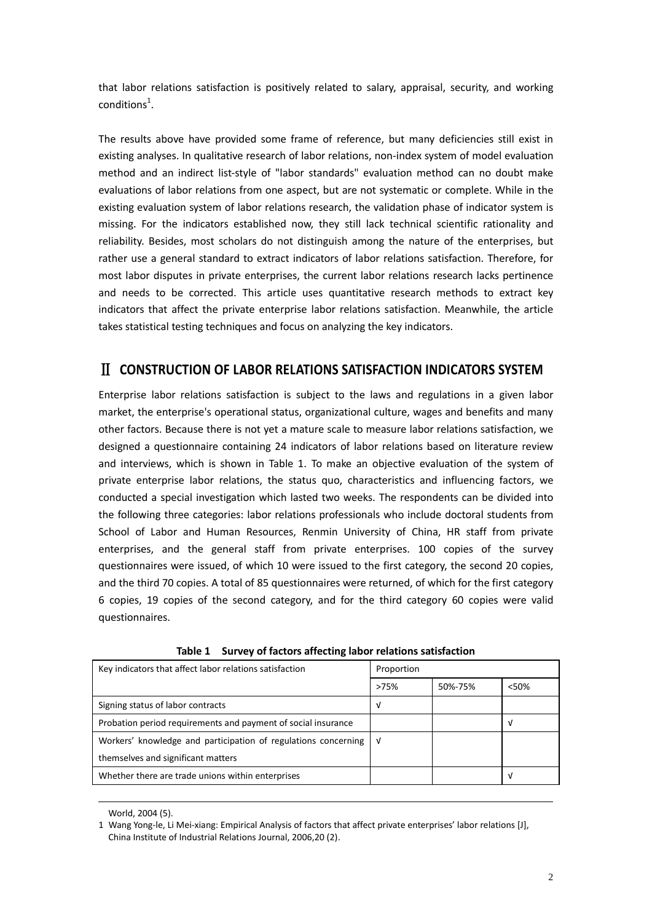that labor relations satisfaction is positively related to salary, appraisal, security, and working  $conditions<sup>1</sup>.$ 

The results above have provided some frame of reference, but many deficiencies still exist in existing analyses. In qualitative research of labor relations, non-index system of model evaluation method and an indirect list-style of "labor standards" evaluation method can no doubt make evaluations of labor relations from one aspect, but are not systematic or complete. While in the existing evaluation system of labor relations research, the validation phase of indicator system is missing. For the indicators established now, they still lack technical scientific rationality and reliability. Besides, most scholars do not distinguish among the nature of the enterprises, but rather use a general standard to extract indicators of labor relations satisfaction. Therefore, for most labor disputes in private enterprises, the current labor relations research lacks pertinence and needs to be corrected. This article uses quantitative research methods to extract key indicators that affect the private enterprise labor relations satisfaction. Meanwhile, the article takes statistical testing techniques and focus on analyzing the key indicators.

## Ⅱ **CONSTRUCTION OF LABOR RELATIONS SATISFACTION INDICATORS SYSTEM**

Enterprise labor relations satisfaction is subject to the laws and regulations in a given labor market, the enterprise's operational status, organizational culture, wages and benefits and many other factors. Because there is not yet a mature scale to measure labor relations satisfaction, we designed a questionnaire containing 24 indicators of labor relations based on literature review and interviews, which is shown in Table 1. To make an objective evaluation of the system of private enterprise labor relations, the status quo, characteristics and influencing factors, we conducted a special investigation which lasted two weeks. The respondents can be divided into the following three categories: labor relations professionals who include doctoral students from School of Labor and Human Resources, Renmin University of China, HR staff from private enterprises, and the general staff from private enterprises. 100 copies of the survey questionnaires were issued, of which 10 were issued to the first category, the second 20 copies, and the third 70 copies. A total of 85 questionnaires were returned, of which for the first category 6 copies, 19 copies of the second category, and for the third category 60 copies were valid questionnaires.

| Key indicators that affect labor relations satisfaction        | Proportion |         |       |
|----------------------------------------------------------------|------------|---------|-------|
|                                                                | >75%       | 50%-75% | < 50% |
| Signing status of labor contracts                              | v          |         |       |
| Probation period requirements and payment of social insurance  |            |         | V     |
| Workers' knowledge and participation of regulations concerning | ่√         |         |       |
| themselves and significant matters                             |            |         |       |
| Whether there are trade unions within enterprises              |            |         | V     |

**Table 1 Survey of factors affecting labor relations satisfaction**

World, 2004 (5).

<u>.</u>

<sup>1</sup> Wang Yong-le, Li Mei-xiang: Empirical Analysis of factors that affect private enterprises' labor relations [J], China Institute of Industrial Relations Journal, 2006,20 (2).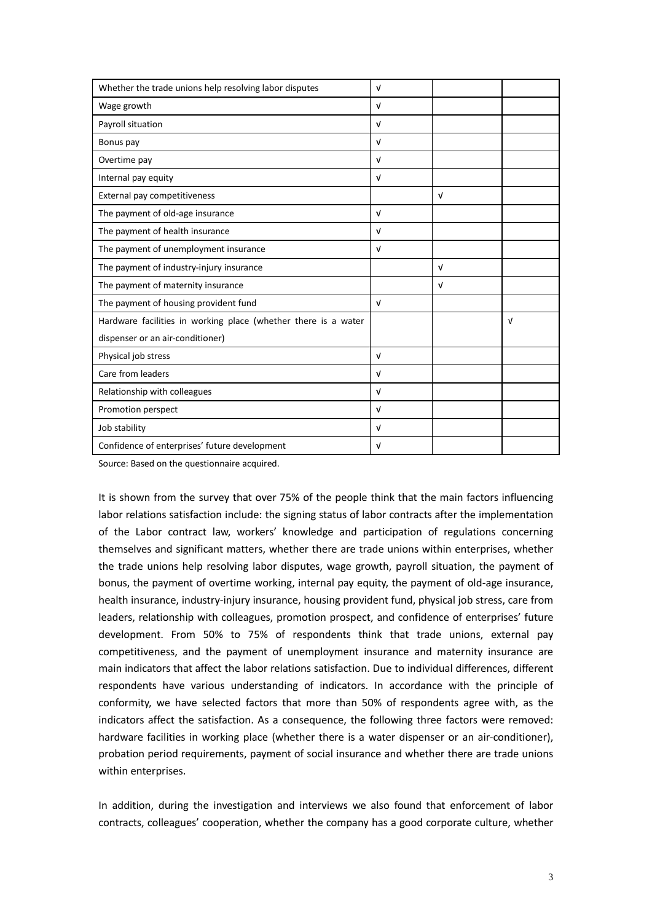| Whether the trade unions help resolving labor disputes         | $\sqrt{ }$ |            |            |
|----------------------------------------------------------------|------------|------------|------------|
| Wage growth                                                    | $\sqrt{ }$ |            |            |
| Payroll situation                                              | $\sqrt{ }$ |            |            |
| Bonus pay                                                      | $\sqrt{ }$ |            |            |
| Overtime pay                                                   | $\sqrt{ }$ |            |            |
| Internal pay equity                                            | v          |            |            |
| External pay competitiveness                                   |            | $\sqrt{ }$ |            |
| The payment of old-age insurance                               | $\sqrt{ }$ |            |            |
| The payment of health insurance                                | $\sqrt{ }$ |            |            |
| The payment of unemployment insurance                          | $\sqrt{ }$ |            |            |
| The payment of industry-injury insurance                       |            | $\sqrt{ }$ |            |
| The payment of maternity insurance                             |            | $\sqrt{ }$ |            |
| The payment of housing provident fund                          | $\sqrt{ }$ |            |            |
| Hardware facilities in working place (whether there is a water |            |            | $\sqrt{ }$ |
| dispenser or an air-conditioner)                               |            |            |            |
| Physical job stress                                            | $\sqrt{ }$ |            |            |
| Care from leaders                                              | $\sqrt{ }$ |            |            |
| Relationship with colleagues                                   | $\sqrt{ }$ |            |            |
| Promotion perspect                                             | $\sqrt{ }$ |            |            |
| Job stability                                                  | $\sqrt{ }$ |            |            |
| Confidence of enterprises' future development                  | v          |            |            |

Source: Based on the questionnaire acquired.

It is shown from the survey that over 75% of the people think that the main factors influencing labor relations satisfaction include: the signing status of labor contracts after the implementation of the Labor contract law, workers' knowledge and participation of regulations concerning themselves and significant matters, whether there are trade unions within enterprises, whether the trade unions help resolving labor disputes, wage growth, payroll situation, the payment of bonus, the payment of overtime working, internal pay equity, the payment of old-age insurance, health insurance, industry-injury insurance, housing provident fund, physical job stress, care from leaders, relationship with colleagues, promotion prospect, and confidence of enterprises' future development. From 50% to 75% of respondents think that trade unions, external pay competitiveness, and the payment of unemployment insurance and maternity insurance are main indicators that affect the labor relations satisfaction. Due to individual differences, different respondents have various understanding of indicators. In accordance with the principle of conformity, we have selected factors that more than 50% of respondents agree with, as the indicators affect the satisfaction. As a consequence, the following three factors were removed: hardware facilities in working place (whether there is a water dispenser or an air-conditioner), probation period requirements, payment of social insurance and whether there are trade unions within enterprises.

In addition, during the investigation and interviews we also found that enforcement of labor contracts, colleagues' cooperation, whether the company has a good corporate culture, whether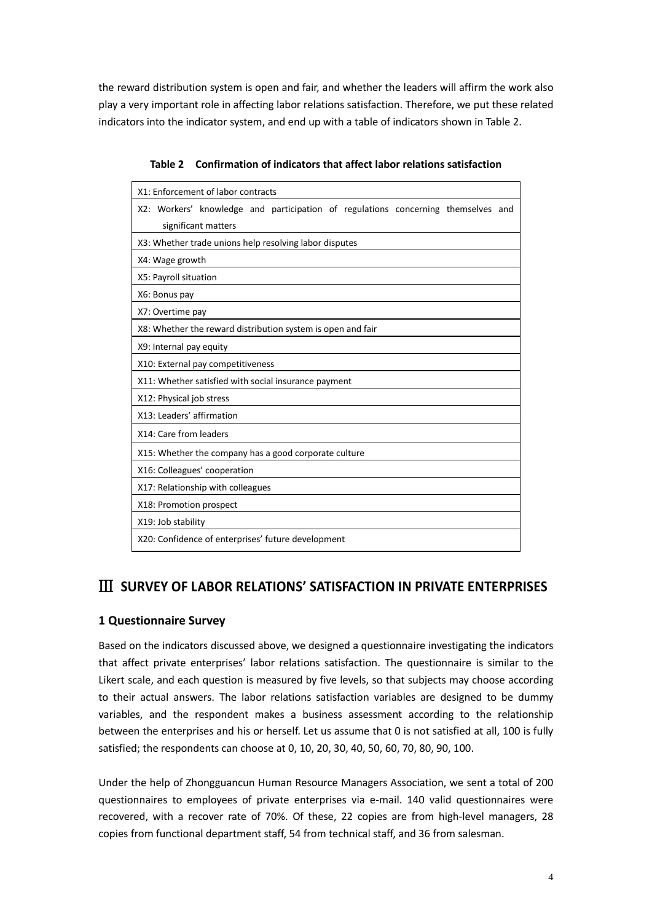the reward distribution system is open and fair, and whether the leaders will affirm the work also play a very important role in affecting labor relations satisfaction. Therefore, we put these related indicators into the indicator system, and end up with a table of indicators shown in Table 2.

| X1: Enforcement of labor contracts                                                                       |
|----------------------------------------------------------------------------------------------------------|
| X2: Workers' knowledge and participation of regulations concerning themselves and<br>significant matters |
| X3: Whether trade unions help resolving labor disputes                                                   |
| X4: Wage growth                                                                                          |
| X5: Payroll situation                                                                                    |
| X6: Bonus pay                                                                                            |
| X7: Overtime pay                                                                                         |
| X8: Whether the reward distribution system is open and fair                                              |
| X9: Internal pay equity                                                                                  |
| X10: External pay competitiveness                                                                        |
| X11: Whether satisfied with social insurance payment                                                     |
| X12: Physical job stress                                                                                 |
| X13: Leaders' affirmation                                                                                |
| X14: Care from leaders                                                                                   |
| X15: Whether the company has a good corporate culture                                                    |
| X16: Colleagues' cooperation                                                                             |
| X17: Relationship with colleagues                                                                        |
| X18: Promotion prospect                                                                                  |
| X19: Job stability                                                                                       |
| X20: Confidence of enterprises' future development                                                       |

**Table 2 Confirmation of indicators that affect labor relations satisfaction**

## Ⅲ **SURVEY OF LABOR RELATIONS' SATISFACTION IN PRIVATE ENTERPRISES**

#### **1 Questionnaire Survey**

Based on the indicators discussed above, we designed a questionnaire investigating the indicators that affect private enterprises' labor relations satisfaction. The questionnaire is similar to the Likert scale, and each question is measured by five levels, so that subjects may choose according to their actual answers. The labor relations satisfaction variables are designed to be dummy variables, and the respondent makes a business assessment according to the relationship between the enterprises and his or herself. Let us assume that 0 is not satisfied at all, 100 is fully satisfied; the respondents can choose at 0, 10, 20, 30, 40, 50, 60, 70, 80, 90, 100.

Under the help of Zhongguancun Human Resource Managers Association, we sent a total of 200 questionnaires to employees of private enterprises via e-mail. 140 valid questionnaires were recovered, with a recover rate of 70%. Of these, 22 copies are from high-level managers, 28 copies from functional department staff, 54 from technical staff, and 36 from salesman.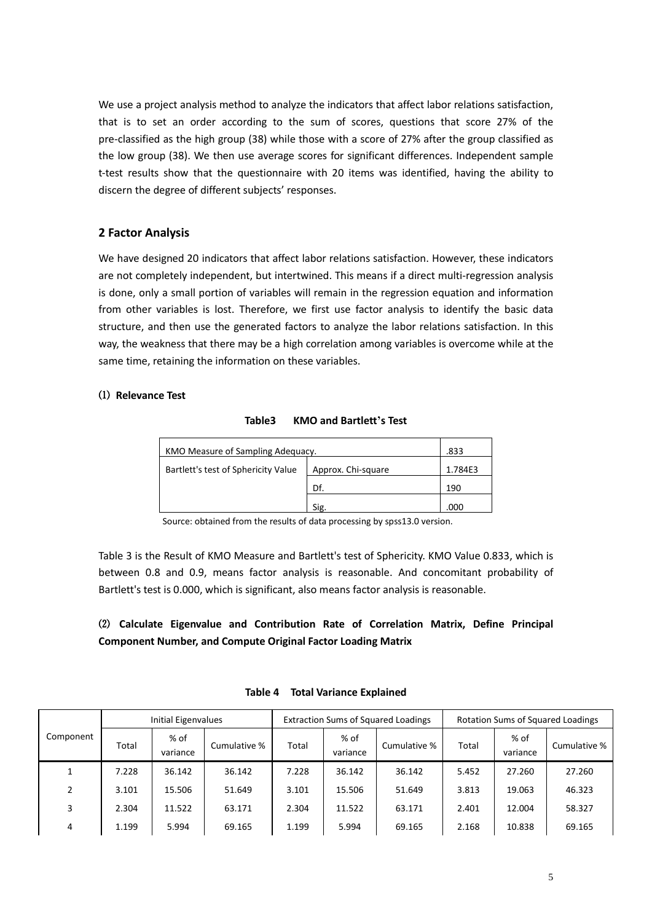We use a project analysis method to analyze the indicators that affect labor relations satisfaction, that is to set an order according to the sum of scores, questions that score 27% of the pre-classified as the high group (38) while those with a score of 27% after the group classified as the low group (38). We then use average scores for significant differences. Independent sample t-test results show that the questionnaire with 20 items was identified, having the ability to discern the degree of different subjects' responses.

### **2 Factor Analysis**

We have designed 20 indicators that affect labor relations satisfaction. However, these indicators are not completely independent, but intertwined. This means if a direct multi-regression analysis is done, only a small portion of variables will remain in the regression equation and information from other variables is lost. Therefore, we first use factor analysis to identify the basic data structure, and then use the generated factors to analyze the labor relations satisfaction. In this way, the weakness that there may be a high correlation among variables is overcome while at the same time, retaining the information on these variables.

#### ⑴ **Relevance Test**

#### **Table3 KMO and Bartlett's Test**

| KMO Measure of Sampling Adequacy.   |                    | .833    |
|-------------------------------------|--------------------|---------|
| Bartlett's test of Sphericity Value | Approx. Chi-square | 1.784E3 |
|                                     | Df.                | 190     |
|                                     | Sig                | .000    |

Source: obtained from the results of data processing by spss13.0 version.

Table 3 is the Result of KMO Measure and Bartlett's test of Sphericity. KMO Value 0.833, which is between 0.8 and 0.9, means factor analysis is reasonable. And concomitant probability of Bartlett's test is 0.000, which is significant, also means factor analysis is reasonable.

### ⑵ **Calculate Eigenvalue and Contribution Rate of Correlation Matrix, Define Principal Component Number, and Compute Original Factor Loading Matrix**

|           |       | <b>Initial Eigenvalues</b> |              |       |                  | <b>Extraction Sums of Squared Loadings</b> |       |                  | <b>Rotation Sums of Squared Loadings</b> |
|-----------|-------|----------------------------|--------------|-------|------------------|--------------------------------------------|-------|------------------|------------------------------------------|
| Component | Total | % of<br>variance           | Cumulative % | Total | % of<br>variance | Cumulative %                               | Total | % of<br>variance | Cumulative %                             |
|           | 7.228 | 36.142                     | 36.142       | 7.228 | 36.142           | 36.142                                     | 5.452 | 27.260           | 27.260                                   |
| 2         | 3.101 | 15.506                     | 51.649       | 3.101 | 15.506           | 51.649                                     | 3.813 | 19.063           | 46.323                                   |
| 3         | 2.304 | 11.522                     | 63.171       | 2.304 | 11.522           | 63.171                                     | 2.401 | 12.004           | 58.327                                   |
| 4         | 1.199 | 5.994                      | 69.165       | 1.199 | 5.994            | 69.165                                     | 2.168 | 10.838           | 69.165                                   |

#### **Table 4 Total Variance Explained**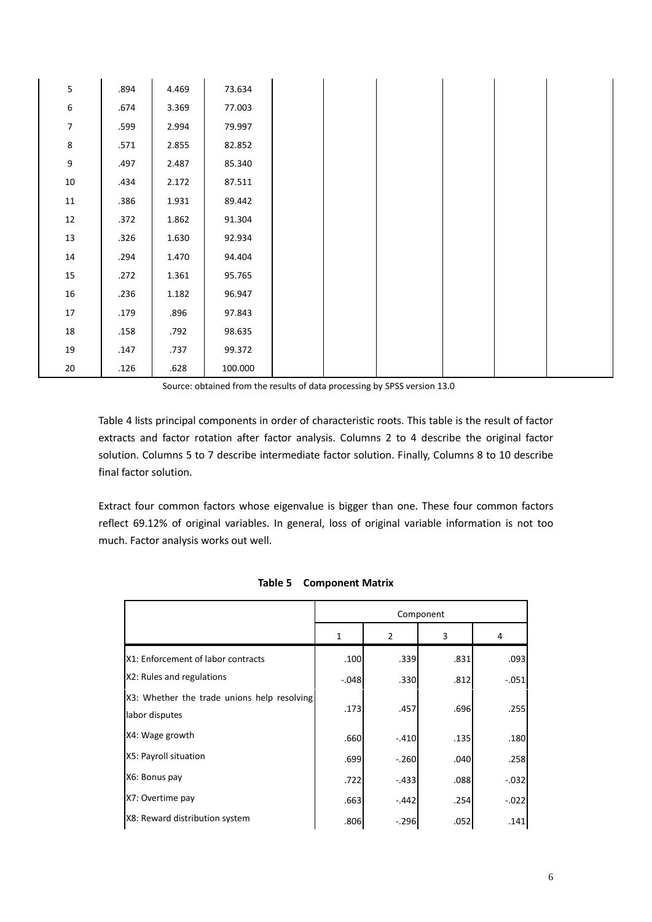| 5                | .894 | 4.469 | 73.634  |
|------------------|------|-------|---------|
| $\boldsymbol{6}$ | .674 | 3.369 | 77.003  |
| $\boldsymbol{7}$ | .599 | 2.994 | 79.997  |
| $\bf 8$          | .571 | 2.855 | 82.852  |
| 9                | .497 | 2.487 | 85.340  |
| $10\,$           | .434 | 2.172 | 87.511  |
| 11               | .386 | 1.931 | 89.442  |
| 12               | .372 | 1.862 | 91.304  |
| 13               | .326 | 1.630 | 92.934  |
| 14               | .294 | 1.470 | 94.404  |
| 15               | .272 | 1.361 | 95.765  |
| 16               | .236 | 1.182 | 96.947  |
| 17               | .179 | .896  | 97.843  |
| $18\,$           | .158 | .792  | 98.635  |
| $19\,$           | .147 | .737  | 99.372  |
| 20               | .126 | .628  | 100.000 |

Source: obtained from the results of data processing by SPSS version 13.0

Table 4 lists principal components in order of characteristic roots. This table is the result of factor extracts and factor rotation after factor analysis. Columns 2 to 4 describe the original factor solution. Columns 5 to 7 describe intermediate factor solution. Finally, Columns 8 to 10 describe final factor solution.

Extract four common factors whose eigenvalue is bigger than one. These four common factors reflect 69.12% of original variables. In general, loss of original variable information is not too much. Factor analysis works out well.

|                                                               |         |         | Component |         |
|---------------------------------------------------------------|---------|---------|-----------|---------|
|                                                               | 1       | 2       | 3         | 4       |
| X1: Enforcement of labor contracts                            | .100    | .339    | .831      | .093    |
| X2: Rules and regulations                                     | $-.048$ | .330    | .812      | $-.051$ |
| X3: Whether the trade unions help resolving<br>labor disputes | .173    | .457    | .696      | .255    |
| X4: Wage growth                                               | .660    | $-.410$ | .135      | .180    |
| X5: Payroll situation                                         | .699    | $-.260$ | .040      | .258    |
| X6: Bonus pay                                                 | .722    | $-.433$ | .088      | $-.032$ |
| X7: Overtime pay                                              | .663    | $-.442$ | .254      | $-.022$ |
| X8: Reward distribution system                                | .806    | $-.296$ | .052      | .141    |

**Table 5 Component Matrix**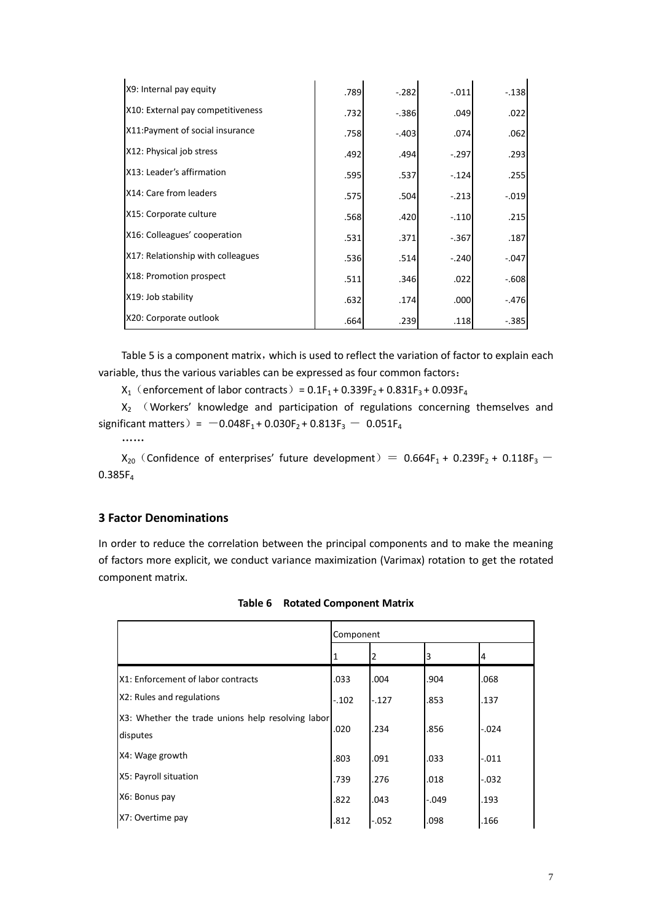| X9: Internal pay equity           | .789 | $-.282$ | $-.011$ | $-.138$ |
|-----------------------------------|------|---------|---------|---------|
| X10: External pay competitiveness | .732 | $-.386$ | .049    | .022    |
| X11: Payment of social insurance  | .758 | $-.403$ | .074    | .062    |
| X12: Physical job stress          | .492 | .494    | $-.297$ | .293    |
| X13: Leader's affirmation         | .595 | .537    | $-.124$ | .255    |
| X14: Care from leaders            | .575 | .504    | $-.213$ | $-.019$ |
| X15: Corporate culture            | .568 | .420    | $-.110$ | .215    |
| X16: Colleagues' cooperation      | .531 | .371    | $-.367$ | .187    |
| X17: Relationship with colleagues | .536 | .514    | $-.240$ | $-.047$ |
| X18: Promotion prospect           | .511 | .346    | .022    | $-.608$ |
| X19: Job stability                | .632 | .174    | .000    | $-.476$ |
| X20: Corporate outlook            | .664 | .239    | .118    | $-.385$ |

Table 5 is a component matrix, which is used to reflect the variation of factor to explain each variable, thus the various variables can be expressed as four common factors:

 $X_1$  (enforcement of labor contracts) =  $0.1F_1 + 0.339F_2 + 0.831F_3 + 0.093F_4$ 

 $X_2$  (Workers' knowledge and participation of regulations concerning themselves and significant matters) =  $-0.048F_1 + 0.030F_2 + 0.813F_3 - 0.051F_4$ 

……

 $X_{20}$  (Confidence of enterprises' future development) =  $0.664F_1 + 0.239F_2 + 0.118F_3$  -0.385F

#### **3 Factor Denominations**

In order to reduce the correlation between the principal components and to make the meaning of factors more explicit, we conduct variance maximization (Varimax) rotation to get the rotated component matrix.

|                                                               | Component |          |         |         |
|---------------------------------------------------------------|-----------|----------|---------|---------|
|                                                               |           |          | 3       | 4       |
| X1: Enforcement of labor contracts                            | .033      | .004     | .904    | .068    |
| X2: Rules and regulations                                     | $-.102$   | $-.127$  | .853    | .137    |
| X3: Whether the trade unions help resolving labor<br>disputes | .020      | .234     | .856    | $-.024$ |
| X4: Wage growth                                               | .803      | .091     | .033    | $-.011$ |
| X5: Payroll situation                                         | .739      | .276     | .018    | $-.032$ |
| X6: Bonus pay                                                 | .822      | .043     | $-.049$ | .193    |
| X7: Overtime pay                                              | .812      | $-0.052$ | .098    | .166    |

| Table 6 Rotated Component Matrix |  |  |  |  |
|----------------------------------|--|--|--|--|
|----------------------------------|--|--|--|--|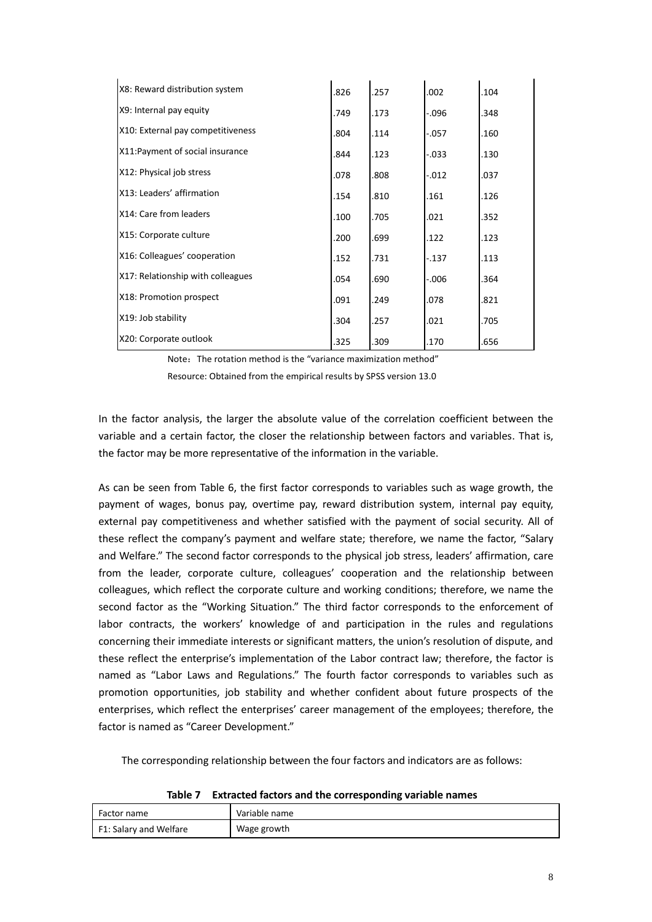| X8: Reward distribution system    | .826 | .257 | .002     | .104 |
|-----------------------------------|------|------|----------|------|
| X9: Internal pay equity           | .749 | .173 | $-0.096$ | .348 |
| X10: External pay competitiveness | .804 | .114 | $-.057$  | .160 |
| X11: Payment of social insurance  | .844 | .123 | $-.033$  | .130 |
| X12: Physical job stress          | .078 | .808 | $-.012$  | .037 |
| X13: Leaders' affirmation         | .154 | .810 | .161     | .126 |
| X14: Care from leaders            | .100 | .705 | .021     | .352 |
| X15: Corporate culture            | .200 | .699 | .122     | .123 |
| X16: Colleagues' cooperation      | .152 | .731 | $-.137$  | .113 |
| X17: Relationship with colleagues | .054 | .690 | $-.006$  | .364 |
| X18: Promotion prospect           | .091 | .249 | .078     | .821 |
| X19: Job stability                | .304 | .257 | .021     | .705 |
| X20: Corporate outlook            | .325 | .309 | .170     | .656 |

Note: The rotation method is the "variance maximization method" Resource: Obtained from the empirical results by SPSS version 13.0

In the factor analysis, the larger the absolute value of the correlation coefficient between the variable and a certain factor, the closer the relationship between factors and variables. That is, the factor may be more representative of the information in the variable.

As can be seen from Table 6, the first factor corresponds to variables such as wage growth, the payment of wages, bonus pay, overtime pay, reward distribution system, internal pay equity, external pay competitiveness and whether satisfied with the payment of social security. All of these reflect the company's payment and welfare state; therefore, we name the factor, "Salary and Welfare." The second factor corresponds to the physical job stress, leaders' affirmation, care from the leader, corporate culture, colleagues' cooperation and the relationship between colleagues, which reflect the corporate culture and working conditions; therefore, we name the second factor as the "Working Situation." The third factor corresponds to the enforcement of labor contracts, the workers' knowledge of and participation in the rules and regulations concerning their immediate interests or significant matters, the union's resolution of dispute, and these reflect the enterprise's implementation of the Labor contract law; therefore, the factor is named as "Labor Laws and Regulations." The fourth factor corresponds to variables such as promotion opportunities, job stability and whether confident about future prospects of the enterprises, which reflect the enterprises' career management of the employees; therefore, the factor is named as "Career Development."

The corresponding relationship between the four factors and indicators are as follows:

| .                      | ENTRANCE RESEARCHED WITH THE CONTROLLERING TWO HEATHER |
|------------------------|--------------------------------------------------------|
| Factor name            | Variable name                                          |
| F1: Salary and Welfare | Wage growth                                            |

**Table 7 Extracted factors and the corresponding variable names**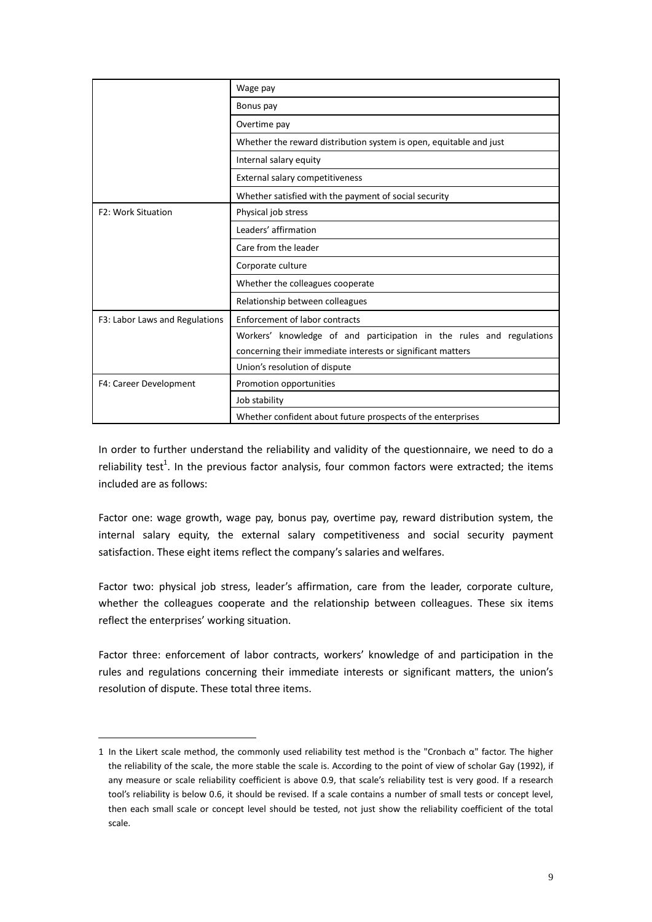|                                | Wage pay                                                             |  |  |  |  |  |  |
|--------------------------------|----------------------------------------------------------------------|--|--|--|--|--|--|
|                                | Bonus pay                                                            |  |  |  |  |  |  |
|                                | Overtime pay                                                         |  |  |  |  |  |  |
|                                | Whether the reward distribution system is open, equitable and just   |  |  |  |  |  |  |
|                                | Internal salary equity                                               |  |  |  |  |  |  |
|                                | External salary competitiveness                                      |  |  |  |  |  |  |
|                                | Whether satisfied with the payment of social security                |  |  |  |  |  |  |
| <b>F2: Work Situation</b>      | Physical job stress                                                  |  |  |  |  |  |  |
|                                | Leaders' affirmation                                                 |  |  |  |  |  |  |
|                                | Care from the leader                                                 |  |  |  |  |  |  |
|                                | Corporate culture                                                    |  |  |  |  |  |  |
|                                | Whether the colleagues cooperate                                     |  |  |  |  |  |  |
|                                | Relationship between colleagues                                      |  |  |  |  |  |  |
| F3: Labor Laws and Regulations | <b>Enforcement of labor contracts</b>                                |  |  |  |  |  |  |
|                                | Workers' knowledge of and participation in the rules and regulations |  |  |  |  |  |  |
|                                | concerning their immediate interests or significant matters          |  |  |  |  |  |  |
|                                | Union's resolution of dispute                                        |  |  |  |  |  |  |
| F4: Career Development         | Promotion opportunities                                              |  |  |  |  |  |  |
|                                | Job stability                                                        |  |  |  |  |  |  |
|                                | Whether confident about future prospects of the enterprises          |  |  |  |  |  |  |

In order to further understand the reliability and validity of the questionnaire, we need to do a reliability test<sup>1</sup>. In the previous factor analysis, four common factors were extracted; the items included are as follows:

Factor one: wage growth, wage pay, bonus pay, overtime pay, reward distribution system, the internal salary equity, the external salary competitiveness and social security payment satisfaction. These eight items reflect the company's salaries and welfares.

Factor two: physical job stress, leader's affirmation, care from the leader, corporate culture, whether the colleagues cooperate and the relationship between colleagues. These six items reflect the enterprises' working situation.

Factor three: enforcement of labor contracts, workers' knowledge of and participation in the rules and regulations concerning their immediate interests or significant matters, the union's resolution of dispute. These total three items.

<u>.</u>

<sup>1</sup> In the Likert scale method, the commonly used reliability test method is the "Cronbach  $\alpha$ " factor. The higher the reliability of the scale, the more stable the scale is. According to the point of view of scholar Gay (1992), if any measure or scale reliability coefficient is above 0.9, that scale's reliability test is very good. If a research tool's reliability is below 0.6, it should be revised. If a scale contains a number of small tests or concept level, then each small scale or concept level should be tested, not just show the reliability coefficient of the total scale.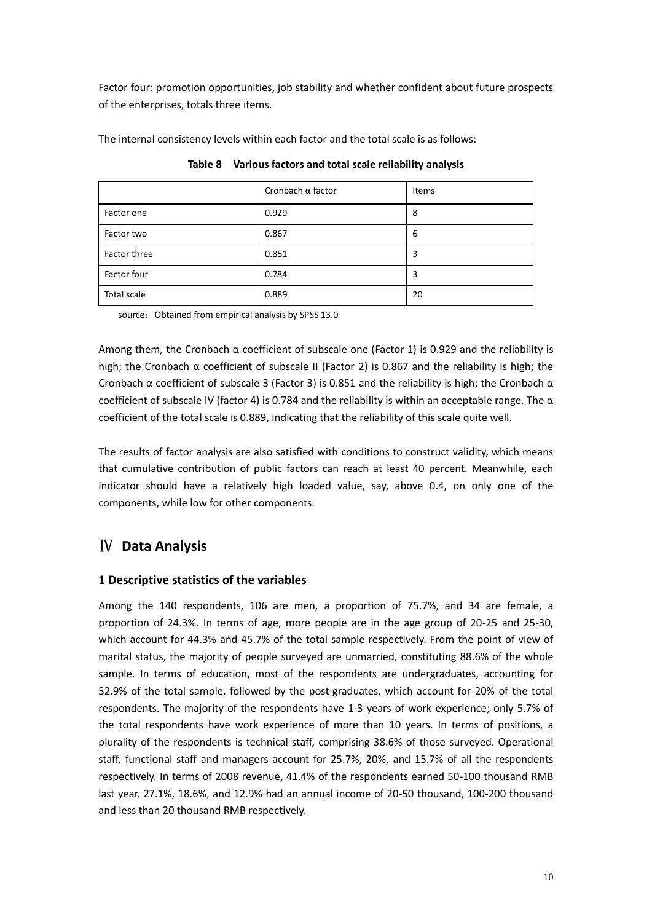Factor four: promotion opportunities, job stability and whether confident about future prospects of the enterprises, totals three items.

| The internal consistency levels within each factor and the total scale is as follows: |  |
|---------------------------------------------------------------------------------------|--|
|---------------------------------------------------------------------------------------|--|

|              | Cronbach $\alpha$ factor | Items |
|--------------|--------------------------|-------|
| Factor one   | 0.929                    | 8     |
| Factor two   | 0.867                    | 6     |
| Factor three | 0.851                    | 3     |
| Factor four  | 0.784                    | 3     |
| Total scale  | 0.889                    | 20    |

**Table 8 Various factors and total scale reliability analysis**

source: Obtained from empirical analysis by SPSS 13.0

Among them, the Cronbach  $\alpha$  coefficient of subscale one (Factor 1) is 0.929 and the reliability is high; the Cronbach  $\alpha$  coefficient of subscale II (Factor 2) is 0.867 and the reliability is high; the Cronbach α coefficient of subscale 3 (Factor 3) is 0.851 and the reliability is high; the Cronbach  $α$ coefficient of subscale IV (factor 4) is 0.784 and the reliability is within an acceptable range. The  $\alpha$ coefficient of the total scale is 0.889, indicating that the reliability of this scale quite well.

The results of factor analysis are also satisfied with conditions to construct validity, which means that cumulative contribution of public factors can reach at least 40 percent. Meanwhile, each indicator should have a relatively high loaded value, say, above 0.4, on only one of the components, while low for other components.

# Ⅳ **Data Analysis**

### **1 Descriptive statistics of the variables**

Among the 140 respondents, 106 are men, a proportion of 75.7%, and 34 are female, a proportion of 24.3%. In terms of age, more people are in the age group of 20-25 and 25-30, which account for 44.3% and 45.7% of the total sample respectively. From the point of view of marital status, the majority of people surveyed are unmarried, constituting 88.6% of the whole sample. In terms of education, most of the respondents are undergraduates, accounting for 52.9% of the total sample, followed by the post-graduates, which account for 20% of the total respondents. The majority of the respondents have 1-3 years of work experience; only 5.7% of the total respondents have work experience of more than 10 years. In terms of positions, a plurality of the respondents is technical staff, comprising 38.6% of those surveyed. Operational staff, functional staff and managers account for 25.7%, 20%, and 15.7% of all the respondents respectively. In terms of 2008 revenue, 41.4% of the respondents earned 50-100 thousand RMB last year. 27.1%, 18.6%, and 12.9% had an annual income of 20-50 thousand, 100-200 thousand and less than 20 thousand RMB respectively.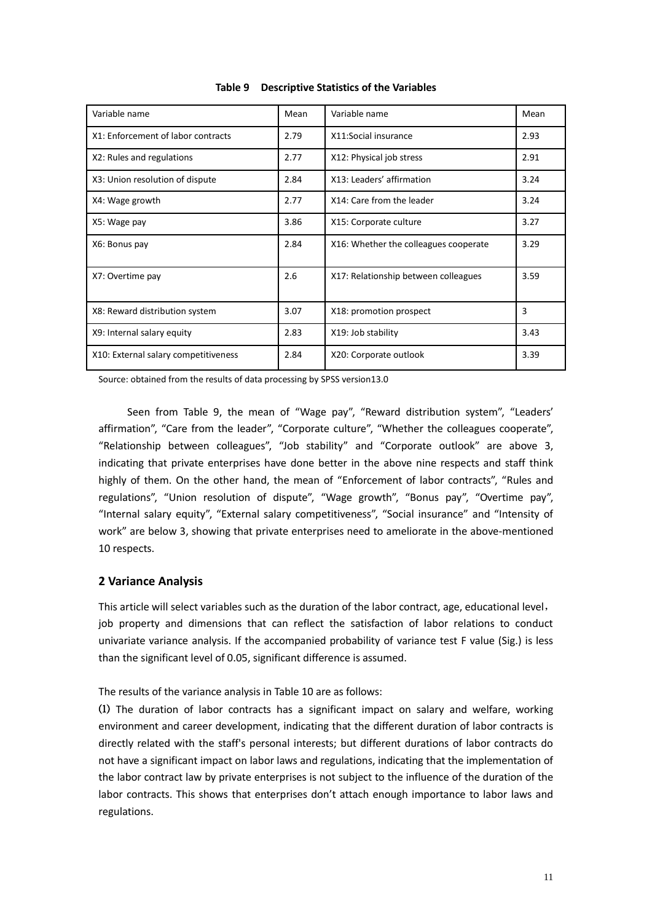| Variable name                        | Mean | Variable name                         | Mean |
|--------------------------------------|------|---------------------------------------|------|
| X1: Enforcement of labor contracts   | 2.79 | X11:Social insurance                  | 2.93 |
| X2: Rules and regulations            | 2.77 | X12: Physical job stress              | 2.91 |
| X3: Union resolution of dispute      | 2.84 | X13: Leaders' affirmation             | 3.24 |
| X4: Wage growth                      | 2.77 | X14: Care from the leader             | 3.24 |
| X5: Wage pay                         | 3.86 | X15: Corporate culture                | 3.27 |
| X6: Bonus pay                        | 2.84 | X16: Whether the colleagues cooperate | 3.29 |
| X7: Overtime pay                     | 2.6  | X17: Relationship between colleagues  | 3.59 |
| X8: Reward distribution system       | 3.07 | X18: promotion prospect               | 3    |
| X9: Internal salary equity           | 2.83 | X19: Job stability                    | 3.43 |
| X10: External salary competitiveness | 2.84 | X20: Corporate outlook                | 3.39 |

**Table 9 Descriptive Statistics of the Variables**

Source: obtained from the results of data processing by SPSS version13.0

Seen from Table 9, the mean of "Wage pay", "Reward distribution system", "Leaders' affirmation", "Care from the leader", "Corporate culture", "Whether the colleagues cooperate", "Relationship between colleagues", "Job stability" and "Corporate outlook" are above 3, indicating that private enterprises have done better in the above nine respects and staff think highly of them. On the other hand, the mean of "Enforcement of labor contracts", "Rules and regulations", "Union resolution of dispute", "Wage growth", "Bonus pay", "Overtime pay", "Internal salary equity", "External salary competitiveness", "Social insurance" and "Intensity of work" are below 3, showing that private enterprises need to ameliorate in the above-mentioned 10 respects.

#### **2 Variance Analysis**

This article will select variables such as the duration of the labor contract, age, educational level, job property and dimensions that can reflect the satisfaction of labor relations to conduct univariate variance analysis. If the accompanied probability of variance test F value (Sig.) is less than the significant level of 0.05, significant difference is assumed.

The results of the variance analysis in Table 10 are as follows:

⑴ The duration of labor contracts has a significant impact on salary and welfare, working environment and career development, indicating that the different duration of labor contracts is directly related with the staff's personal interests; but different durations of labor contracts do not have a significant impact on labor laws and regulations, indicating that the implementation of the labor contract law by private enterprises is not subject to the influence of the duration of the labor contracts. This shows that enterprises don't attach enough importance to labor laws and regulations.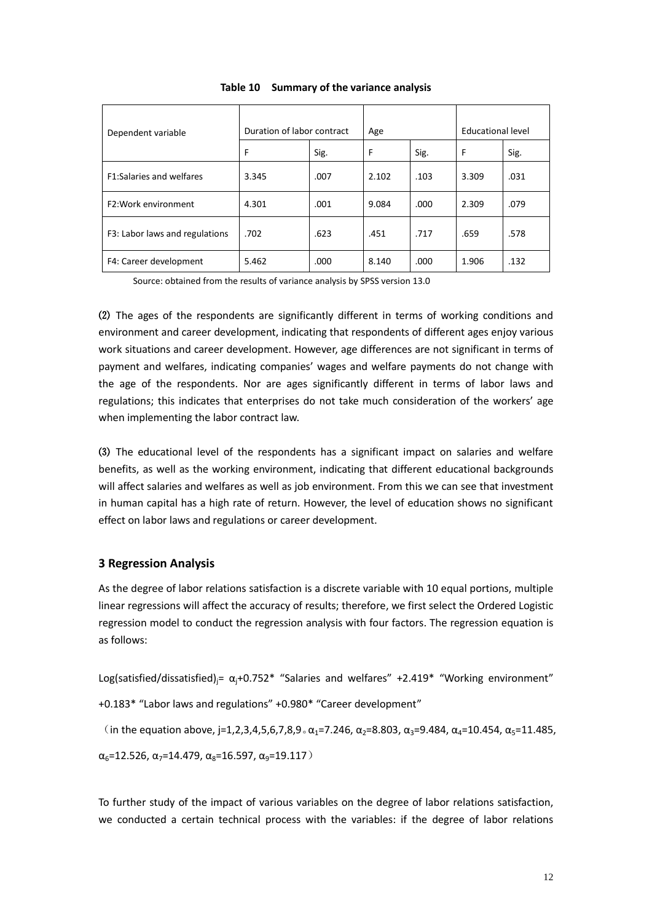| Dependent variable              | Duration of labor contract |      | Age   |      | Educational level |      |
|---------------------------------|----------------------------|------|-------|------|-------------------|------|
|                                 | F                          | Sig. | F     | Sig. | F                 | Sig. |
| <b>F1:Salaries and welfares</b> | 3.345                      | .007 | 2.102 | .103 | 3.309             | .031 |
| F2: Work environment            | 4.301                      | .001 | 9.084 | .000 | 2.309             | .079 |
| F3: Labor laws and regulations  | .702                       | .623 | .451  | .717 | .659              | .578 |
| F4: Career development          | 5.462                      | .000 | 8.140 | .000 | 1.906             | .132 |

#### **Table 10 Summary of the variance analysis**

Source: obtained from the results of variance analysis by SPSS version 13.0

⑵ The ages of the respondents are significantly different in terms of working conditions and environment and career development, indicating that respondents of different ages enjoy various work situations and career development. However, age differences are not significant in terms of payment and welfares, indicating companies' wages and welfare payments do not change with the age of the respondents. Nor are ages significantly different in terms of labor laws and regulations; this indicates that enterprises do not take much consideration of the workers' age when implementing the labor contract law.

⑶ The educational level of the respondents has a significant impact on salaries and welfare benefits, as well as the working environment, indicating that different educational backgrounds will affect salaries and welfares as well as job environment. From this we can see that investment in human capital has a high rate of return. However, the level of education shows no significant effect on labor laws and regulations or career development.

#### **3 Regression Analysis**

As the degree of labor relations satisfaction is a discrete variable with 10 equal portions, multiple linear regressions will affect the accuracy of results; therefore, we first select the Ordered Logistic regression model to conduct the regression analysis with four factors. The regression equation is as follows:

Log(satisfied/dissatisfied) $_i = \alpha_i + 0.752^*$  "Salaries and welfares" +2.419\* "Working environment"

+0.183\* "Labor laws and regulations" +0.980\* "Career development"

(in the equation above, j=1,2,3,4,5,6,7,8,9  $\alpha$ <sub>1</sub>=7.246,  $\alpha$ <sub>2</sub>=8.803,  $\alpha$ <sub>3</sub>=9.484,  $\alpha$ <sub>4</sub>=10.454,  $\alpha$ <sub>5</sub>=11.485,

 $\alpha_6$ =12.526,  $\alpha_7$ =14.479,  $\alpha_8$ =16.597,  $\alpha_9$ =19.117)

To further study of the impact of various variables on the degree of labor relations satisfaction, we conducted a certain technical process with the variables: if the degree of labor relations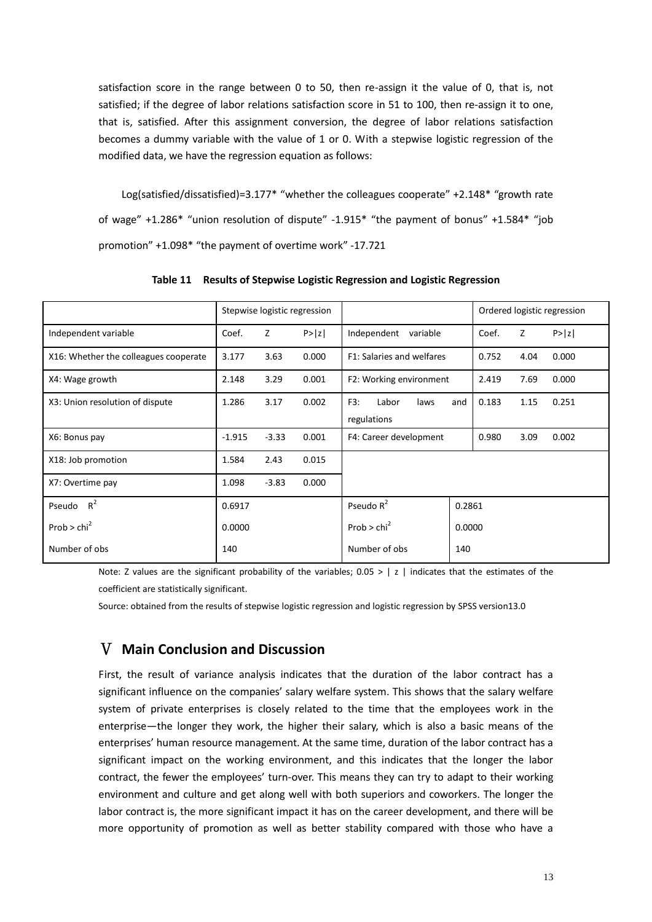satisfaction score in the range between 0 to 50, then re-assign it the value of 0, that is, not satisfied; if the degree of labor relations satisfaction score in 51 to 100, then re-assign it to one, that is, satisfied. After this assignment conversion, the degree of labor relations satisfaction becomes a dummy variable with the value of 1 or 0. With a stepwise logistic regression of the modified data, we have the regression equation as follows:

Log(satisfied/dissatisfied)=3.177\* "whether the colleagues cooperate" +2.148\* "growth rate of wage" +1.286\* "union resolution of dispute" -1.915\* "the payment of bonus" +1.584\* "job promotion" +1.098\* "the payment of overtime work" -17.721

|                                       | Stepwise logistic regression |         |        |                                            | Ordered logistic regression |      |        |
|---------------------------------------|------------------------------|---------|--------|--------------------------------------------|-----------------------------|------|--------|
| Independent variable                  | Coef.                        | Z       | P >  z | Independent<br>variable                    | Coef.                       | Z    | P >  z |
| X16: Whether the colleagues cooperate | 3.177                        | 3.63    | 0.000  | F1: Salaries and welfares                  | 0.752                       | 4.04 | 0.000  |
| X4: Wage growth                       | 2.148                        | 3.29    | 0.001  | F2: Working environment                    | 2.419                       | 7.69 | 0.000  |
| X3: Union resolution of dispute       | 1.286                        | 3.17    | 0.002  | F3:<br>Labor<br>laws<br>and<br>regulations | 0.183                       | 1.15 | 0.251  |
| X6: Bonus pay                         | $-1.915$                     | $-3.33$ | 0.001  | F4: Career development                     | 0.980                       | 3.09 | 0.002  |
| X18: Job promotion                    | 1.584                        | 2.43    | 0.015  |                                            |                             |      |        |
| X7: Overtime pay                      | 1.098                        | $-3.83$ | 0.000  |                                            |                             |      |        |
| Pseudo $R^2$                          | 0.6917                       |         |        | Pseudo $R^2$                               | 0.2861                      |      |        |
| Prob > $chi^2$                        | 0.0000                       |         |        | Prob > $chi^2$                             | 0.0000                      |      |        |
| Number of obs                         | 140                          |         |        | Number of obs<br>140                       |                             |      |        |

**Table 11 Results of Stepwise Logistic Regression and Logistic Regression**

Note: Z values are the significant probability of the variables;  $0.05 > |z|$  indicates that the estimates of the coefficient are statistically significant.

Source: obtained from the results of stepwise logistic regression and logistic regression by SPSS version13.0

### Ⅴ **Main Conclusion and Discussion**

First, the result of variance analysis indicates that the duration of the labor contract has a significant influence on the companies' salary welfare system. This shows that the salary welfare system of private enterprises is closely related to the time that the employees work in the enterprise—the longer they work, the higher their salary, which is also a basic means of the enterprises' human resource management. At the same time, duration of the labor contract has a significant impact on the working environment, and this indicates that the longer the labor contract, the fewer the employees' turn-over. This means they can try to adapt to their working environment and culture and get along well with both superiors and coworkers. The longer the labor contract is, the more significant impact it has on the career development, and there will be more opportunity of promotion as well as better stability compared with those who have a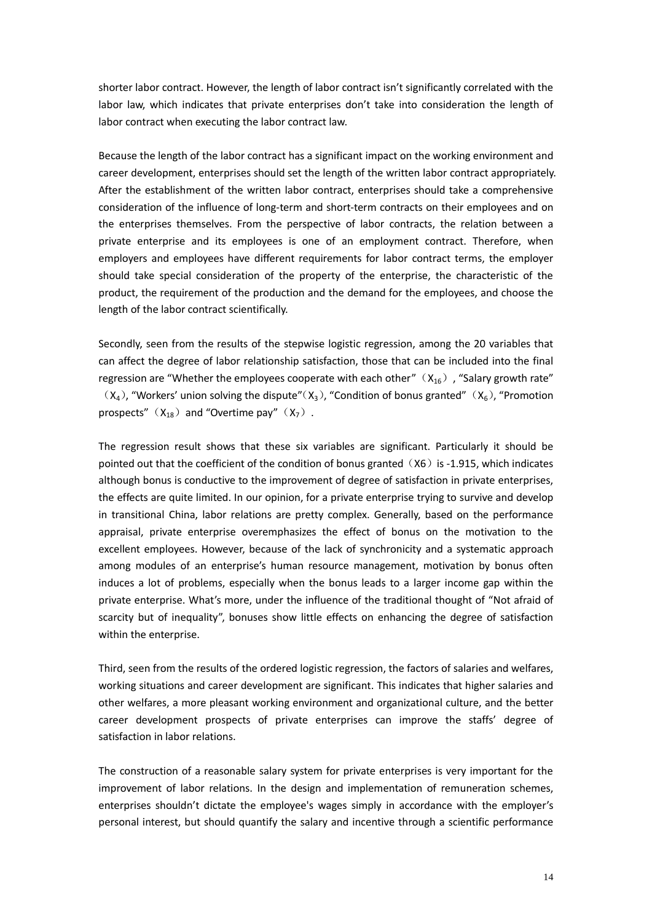shorter labor contract. However, the length of labor contract isn't significantly correlated with the labor law, which indicates that private enterprises don't take into consideration the length of labor contract when executing the labor contract law.

Because the length of the labor contract has a significant impact on the working environment and career development, enterprises should set the length of the written labor contract appropriately. After the establishment of the written labor contract, enterprises should take a comprehensive consideration of the influence of long-term and short-term contracts on their employees and on the enterprises themselves. From the perspective of labor contracts, the relation between a private enterprise and its employees is one of an employment contract. Therefore, when employers and employees have different requirements for labor contract terms, the employer should take special consideration of the property of the enterprise, the characteristic of the product, the requirement of the production and the demand for the employees, and choose the length of the labor contract scientifically.

Secondly, seen from the results of the stepwise logistic regression, among the 20 variables that can affect the degree of labor relationship satisfaction, those that can be included into the final regression are "Whether the employees cooperate with each other"  $(X_{16})$ , "Salary growth rate"  $(X_4)$ , "Workers' union solving the dispute" $(X_3)$ , "Condition of bonus granted"  $(X_6)$ , "Promotion prospects"  $(X_{18})$  and "Overtime pay"  $(X_{7})$ .

The regression result shows that these six variables are significant. Particularly it should be pointed out that the coefficient of the condition of bonus granted  $(X6)$  is -1.915, which indicates although bonus is conductive to the improvement of degree of satisfaction in private enterprises, the effects are quite limited. In our opinion, for a private enterprise trying to survive and develop in transitional China, labor relations are pretty complex. Generally, based on the performance appraisal, private enterprise overemphasizes the effect of bonus on the motivation to the excellent employees. However, because of the lack of synchronicity and a systematic approach among modules of an enterprise's human resource management, motivation by bonus often induces a lot of problems, especially when the bonus leads to a larger income gap within the private enterprise. What's more, under the influence of the traditional thought of "Not afraid of scarcity but of inequality", bonuses show little effects on enhancing the degree of satisfaction within the enterprise.

Third, seen from the results of the ordered logistic regression, the factors of salaries and welfares, working situations and career development are significant. This indicates that higher salaries and other welfares, a more pleasant working environment and organizational culture, and the better career development prospects of private enterprises can improve the staffs' degree of satisfaction in labor relations.

The construction of a reasonable salary system for private enterprises is very important for the improvement of labor relations. In the design and implementation of remuneration schemes, enterprises shouldn't dictate the employee's wages simply in accordance with the employer's personal interest, but should quantify the salary and incentive through a scientific performance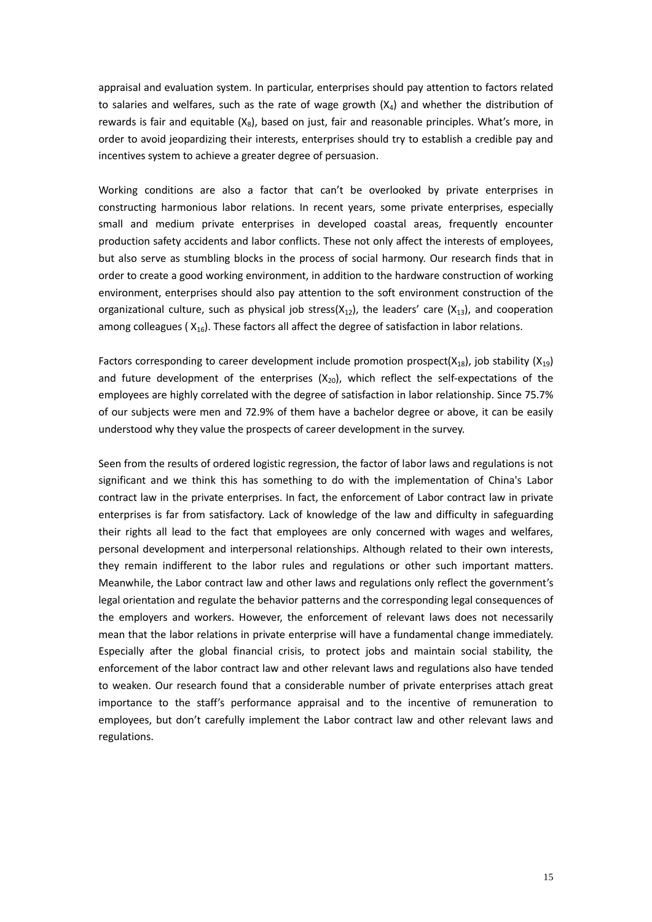appraisal and evaluation system. In particular, enterprises should pay attention to factors related to salaries and welfares, such as the rate of wage growth  $(X_4)$  and whether the distribution of rewards is fair and equitable  $(X_8)$ , based on just, fair and reasonable principles. What's more, in order to avoid jeopardizing their interests, enterprises should try to establish a credible pay and incentives system to achieve a greater degree of persuasion.

Working conditions are also a factor that can't be overlooked by private enterprises in constructing harmonious labor relations. In recent years, some private enterprises, especially small and medium private enterprises in developed coastal areas, frequently encounter production safety accidents and labor conflicts. These not only affect the interests of employees, but also serve as stumbling blocks in the process of social harmony. Our research finds that in order to create a good working environment, in addition to the hardware construction of working environment, enterprises should also pay attention to the soft environment construction of the organizational culture, such as physical job stress( $X_{12}$ ), the leaders' care ( $X_{13}$ ), and cooperation among colleagues ( $X_{16}$ ). These factors all affect the degree of satisfaction in labor relations.

Factors corresponding to career development include promotion prospect( $X_{18}$ ), job stability ( $X_{19}$ ) and future development of the enterprises  $(X_{20})$ , which reflect the self-expectations of the employees are highly correlated with the degree of satisfaction in labor relationship. Since 75.7% of our subjects were men and 72.9% of them have a bachelor degree or above, it can be easily understood why they value the prospects of career development in the survey.

Seen from the results of ordered logistic regression, the factor of labor laws and regulations is not significant and we think this has something to do with the implementation of China's Labor contract law in the private enterprises. In fact, the enforcement of Labor contract law in private enterprises is far from satisfactory. Lack of knowledge of the law and difficulty in safeguarding their rights all lead to the fact that employees are only concerned with wages and welfares, personal development and interpersonal relationships. Although related to their own interests, they remain indifferent to the labor rules and regulations or other such important matters. Meanwhile, the Labor contract law and other laws and regulations only reflect the government's legal orientation and regulate the behavior patterns and the corresponding legal consequences of the employers and workers. However, the enforcement of relevant laws does not necessarily mean that the labor relations in private enterprise will have a fundamental change immediately. Especially after the global financial crisis, to protect jobs and maintain social stability, the enforcement of the labor contract law and other relevant laws and regulations also have tended to weaken. Our research found that a considerable number of private enterprises attach great importance to the staff's performance appraisal and to the incentive of remuneration to employees, but don't carefully implement the Labor contract law and other relevant laws and regulations.